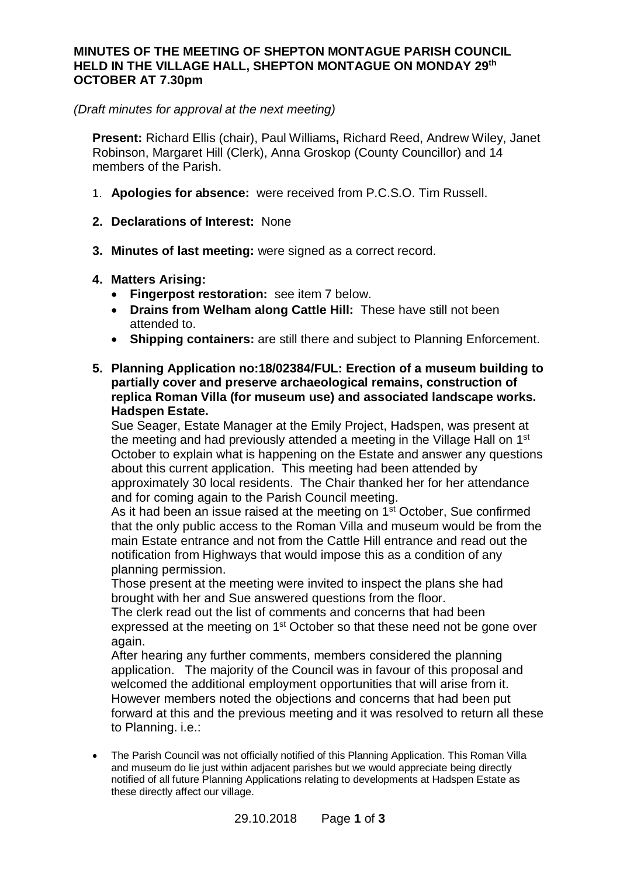### **MINUTES OF THE MEETING OF SHEPTON MONTAGUE PARISH COUNCIL HELD IN THE VILLAGE HALL, SHEPTON MONTAGUE ON MONDAY 29th OCTOBER AT 7.30pm**

#### *(Draft minutes for approval at the next meeting)*

**Present:** Richard Ellis (chair), Paul Williams**,** Richard Reed, Andrew Wiley, Janet Robinson, Margaret Hill (Clerk), Anna Groskop (County Councillor) and 14 members of the Parish.

- 1. **Apologies for absence:** were received from P.C.S.O. Tim Russell.
- **2. Declarations of Interest:** None
- **3. Minutes of last meeting:** were signed as a correct record.
- **4. Matters Arising:**
	- · **Fingerpost restoration:** see item 7 below.
	- · **Drains from Welham along Cattle Hill:** These have still not been attended to.
	- · **Shipping containers:** are still there and subject to Planning Enforcement.
- **5. Planning Application no:18/02384/FUL: Erection of a museum building to partially cover and preserve archaeological remains, construction of replica Roman Villa (for museum use) and associated landscape works. Hadspen Estate.**

Sue Seager, Estate Manager at the Emily Project, Hadspen, was present at the meeting and had previously attended a meeting in the Village Hall on 1<sup>st</sup> October to explain what is happening on the Estate and answer any questions about this current application. This meeting had been attended by approximately 30 local residents. The Chair thanked her for her attendance and for coming again to the Parish Council meeting.

As it had been an issue raised at the meeting on 1<sup>st</sup> October, Sue confirmed that the only public access to the Roman Villa and museum would be from the main Estate entrance and not from the Cattle Hill entrance and read out the notification from Highways that would impose this as a condition of any planning permission.

Those present at the meeting were invited to inspect the plans she had brought with her and Sue answered questions from the floor.

The clerk read out the list of comments and concerns that had been expressed at the meeting on 1<sup>st</sup> October so that these need not be gone over again.

After hearing any further comments, members considered the planning application. The majority of the Council was in favour of this proposal and welcomed the additional employment opportunities that will arise from it. However members noted the objections and concerns that had been put forward at this and the previous meeting and it was resolved to return all these to Planning. i.e.:

· The Parish Council was not officially notified of this Planning Application. This Roman Villa and museum do lie just within adjacent parishes but we would appreciate being directly notified of all future Planning Applications relating to developments at Hadspen Estate as these directly affect our village.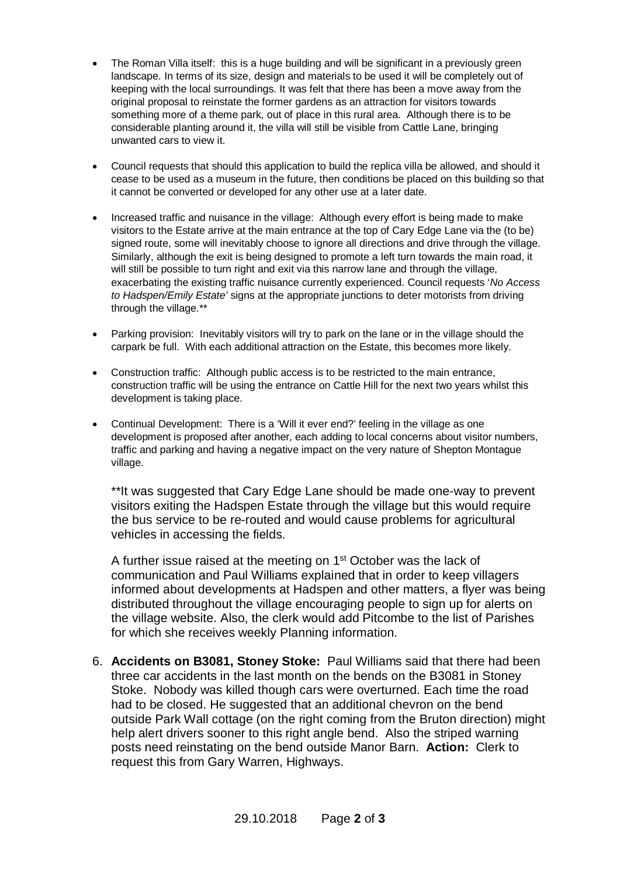- The Roman Villa itself: this is a huge building and will be significant in a previously green landscape. In terms of its size, design and materials to be used it will be completely out of keeping with the local surroundings. It was felt that there has been a move away from the original proposal to reinstate the former gardens as an attraction for visitors towards something more of a theme park, out of place in this rural area. Although there is to be considerable planting around it, the villa will still be visible from Cattle Lane, bringing unwanted cars to view it.
- · Council requests that should this application to build the replica villa be allowed, and should it cease to be used as a museum in the future, then conditions be placed on this building so that it cannot be converted or developed for any other use at a later date.
- · Increased traffic and nuisance in the village: Although every effort is being made to make visitors to the Estate arrive at the main entrance at the top of Cary Edge Lane via the (to be) signed route, some will inevitably choose to ignore all directions and drive through the village. Similarly, although the exit is being designed to promote a left turn towards the main road, it will still be possible to turn right and exit via this narrow lane and through the village. exacerbating the existing traffic nuisance currently experienced. Council requests '*No Access to Hadspen/Emily Estate'* signs at the appropriate junctions to deter motorists from driving through the village.\*\*
- · Parking provision: Inevitably visitors will try to park on the lane or in the village should the carpark be full. With each additional attraction on the Estate, this becomes more likely.
- · Construction traffic: Although public access is to be restricted to the main entrance, construction traffic will be using the entrance on Cattle Hill for the next two years whilst this development is taking place.
- · Continual Development: There is a 'Will it ever end?' feeling in the village as one development is proposed after another, each adding to local concerns about visitor numbers, traffic and parking and having a negative impact on the very nature of Shepton Montague village.

\*\*It was suggested that Cary Edge Lane should be made one-way to prevent visitors exiting the Hadspen Estate through the village but this would require the bus service to be re-routed and would cause problems for agricultural vehicles in accessing the fields.

A further issue raised at the meeting on 1<sup>st</sup> October was the lack of communication and Paul Williams explained that in order to keep villagers informed about developments at Hadspen and other matters, a flyer was being distributed throughout the village encouraging people to sign up for alerts on the village website. Also, the clerk would add Pitcombe to the list of Parishes for which she receives weekly Planning information.

6. **Accidents on B3081, Stoney Stoke:** Paul Williams said that there had been three car accidents in the last month on the bends on the B3081 in Stoney Stoke. Nobody was killed though cars were overturned. Each time the road had to be closed. He suggested that an additional chevron on the bend outside Park Wall cottage (on the right coming from the Bruton direction) might help alert drivers sooner to this right angle bend. Also the striped warning posts need reinstating on the bend outside Manor Barn. **Action:** Clerk to request this from Gary Warren, Highways.